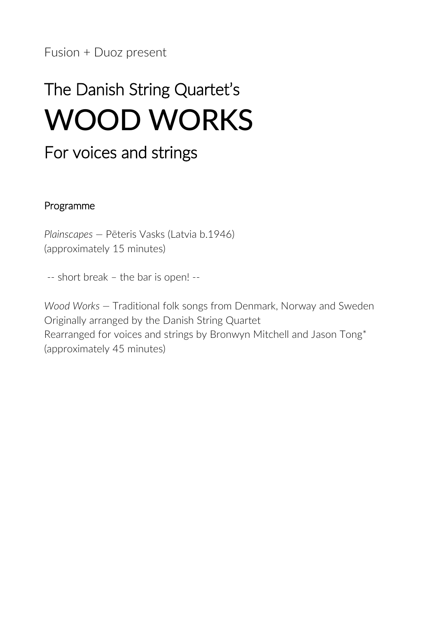Fusion + Duoz present

# The Danish String Quartet's WOOD WORKS

# For voices and strings

### Programme

*Plainscapes —* Pēteris Vasks (Latvia b.1946) (approximately 15 minutes)

-- short break – the bar is open! --

*Wood Works —* Traditional folk songs from Denmark, Norway and Sweden Originally arranged by the Danish String Quartet Rearranged for voices and strings by Bronwyn Mitchell and Jason Tong\* (approximately 45 minutes)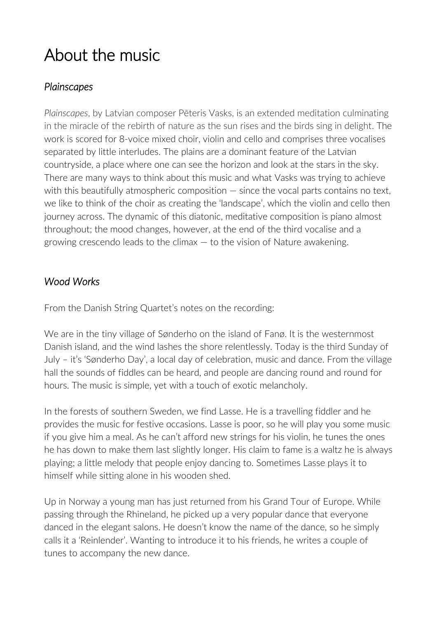# About the music

## *Plainscapes*

*Plainscapes*, by Latvian composer Pēteris Vasks, is an extended meditation culminating in the miracle of the rebirth of nature as the sun rises and the birds sing in delight. The work is scored for 8-voice mixed choir, violin and cello and comprises three vocalises separated by little interludes. The plains are a dominant feature of the Latvian countryside, a place where one can see the horizon and look at the stars in the sky. There are many ways to think about this music and what Vasks was trying to achieve with this beautifully atmospheric composition — since the vocal parts contains no text, we like to think of the choir as creating the 'landscape', which the violin and cello then journey across. The dynamic of this diatonic, meditative composition is piano almost throughout; the mood changes, however, at the end of the third vocalise and a growing crescendo leads to the climax — to the vision of Nature awakening.

# *Wood Works*

From the Danish String Quartet's notes on the recording:

We are in the tiny village of Sønderho on the island of Fanø. It is the westernmost Danish island, and the wind lashes the shore relentlessly. Today is the third Sunday of July – it's 'Sønderho Day', a local day of celebration, music and dance. From the village hall the sounds of fiddles can be heard, and people are dancing round and round for hours. The music is simple, yet with a touch of exotic melancholy.

In the forests of southern Sweden, we find Lasse. He is a travelling fiddler and he provides the music for festive occasions. Lasse is poor, so he will play you some music if you give him a meal. As he can't afford new strings for his violin, he tunes the ones he has down to make them last slightly longer. His claim to fame is a waltz he is always playing; a little melody that people enjoy dancing to. Sometimes Lasse plays it to himself while sitting alone in his wooden shed.

Up in Norway a young man has just returned from his Grand Tour of Europe. While passing through the Rhineland, he picked up a very popular dance that everyone danced in the elegant salons. He doesn't know the name of the dance, so he simply calls it a 'Reinlender'. Wanting to introduce it to his friends, he writes a couple of tunes to accompany the new dance.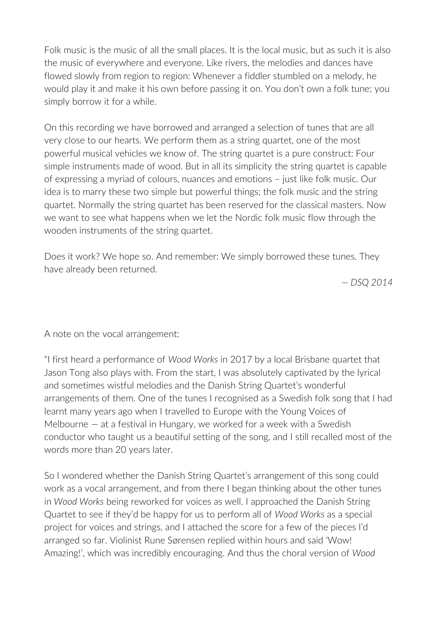Folk music is the music of all the small places. It is the local music, but as such it is also the music of everywhere and everyone. Like rivers, the melodies and dances have flowed slowly from region to region: Whenever a fiddler stumbled on a melody, he would play it and make it his own before passing it on. You don't own a folk tune; you simply borrow it for a while.

On this recording we have borrowed and arranged a selection of tunes that are all very close to our hearts. We perform them as a string quartet, one of the most powerful musical vehicles we know of. The string quartet is a pure construct: Four simple instruments made of wood. But in all its simplicity the string quartet is capable of expressing a myriad of colours, nuances and emotions – just like folk music. Our idea is to marry these two simple but powerful things; the folk music and the string quartet. Normally the string quartet has been reserved for the classical masters. Now we want to see what happens when we let the Nordic folk music flow through the wooden instruments of the string quartet.

Does it work? We hope so. And remember: We simply borrowed these tunes. They have already been returned.

*— DSQ 2014*

A note on the vocal arrangement:

"I first heard a performance of *Wood Works* in 2017 by a local Brisbane quartet that Jason Tong also plays with. From the start, I was absolutely captivated by the lyrical and sometimes wistful melodies and the Danish String Quartet's wonderful arrangements of them. One of the tunes I recognised as a Swedish folk song that I had learnt many years ago when I travelled to Europe with the Young Voices of Melbourne — at a festival in Hungary, we worked for a week with a Swedish conductor who taught us a beautiful setting of the song, and I still recalled most of the words more than 20 years later.

So I wondered whether the Danish String Quartet's arrangement of this song could work as a vocal arrangement, and from there I began thinking about the other tunes in *Wood Works* being reworked for voices as well. I approached the Danish String Quartet to see if they'd be happy for us to perform all of *Wood Works* as a special project for voices and strings, and I attached the score for a few of the pieces I'd arranged so far. Violinist Rune Sørensen replied within hours and said 'Wow! Amazing!', which was incredibly encouraging. And thus the choral version of *Wood*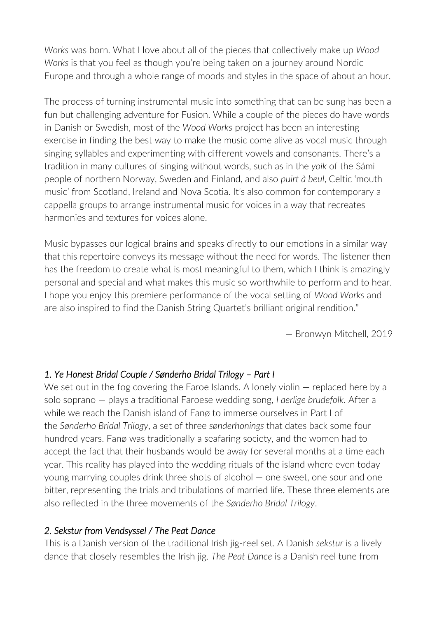*Works* was born. What I love about all of the pieces that collectively make up *Wood Works* is that you feel as though you're being taken on a journey around Nordic Europe and through a whole range of moods and styles in the space of about an hour.

The process of turning instrumental music into something that can be sung has been a fun but challenging adventure for Fusion. While a couple of the pieces do have words in Danish or Swedish, most of the *Wood Works* project has been an interesting exercise in finding the best way to make the music come alive as vocal music through singing syllables and experimenting with different vowels and consonants. There's a tradition in many cultures of singing without words, such as in the *yoik* of the Sámi people of northern Norway, Sweden and Finland, and also *puirt à beul*, Celtic 'mouth music' from Scotland, Ireland and Nova Scotia. It's also common for contemporary a cappella groups to arrange instrumental music for voices in a way that recreates harmonies and textures for voices alone.

Music bypasses our logical brains and speaks directly to our emotions in a similar way that this repertoire conveys its message without the need for words. The listener then has the freedom to create what is most meaningful to them, which I think is amazingly personal and special and what makes this music so worthwhile to perform and to hear. I hope you enjoy this premiere performance of the vocal setting of *Wood Works* and are also inspired to find the Danish String Quartet's brilliant original rendition."

— Bronwyn Mitchell, 2019

#### *1. Ye Honest Bridal Couple / Sønderho Bridal Trilogy – Part I*

We set out in the fog covering the Faroe Islands. A lonely violin - replaced here by a solo soprano — plays a traditional Faroese wedding song, *I aerlige brudefolk*. After a while we reach the Danish island of Fanø to immerse ourselves in Part I of the *Sønderho Bridal Trilogy*, a set of three *sønderhonings* that dates back some four hundred years. Fanø was traditionally a seafaring society, and the women had to accept the fact that their husbands would be away for several months at a time each year. This reality has played into the wedding rituals of the island where even today young marrying couples drink three shots of alcohol — one sweet, one sour and one bitter, representing the trials and tribulations of married life. These three elements are also reflected in the three movements of the *Sønderho Bridal Trilogy*.

#### *2. Sekstur from Vendsyssel / The Peat Dance*

This is a Danish version of the traditional Irish jig-reel set. A Danish *sekstur* is a lively dance that closely resembles the Irish jig. *The Peat Dance* is a Danish reel tune from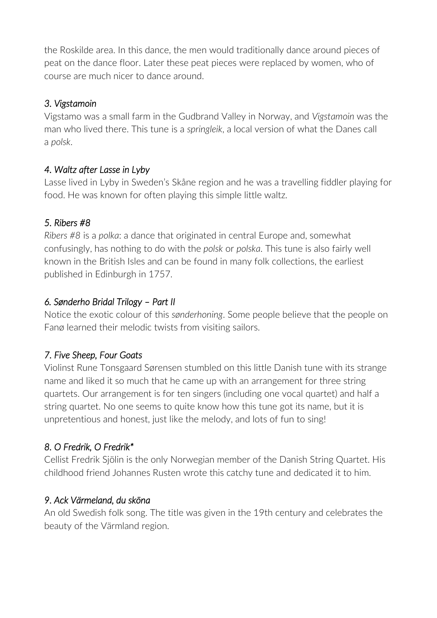the Roskilde area. In this dance, the men would traditionally dance around pieces of peat on the dance floor. Later these peat pieces were replaced by women, who of course are much nicer to dance around.

#### *3. Vigstamoin*

Vigstamo was a small farm in the Gudbrand Valley in Norway, and *Vigstamoin* was the man who lived there. This tune is a *springleik*, a local version of what the Danes call a *polsk*.

#### *4. Waltz after Lasse in Lyby*

Lasse lived in Lyby in Sweden's Skåne region and he was a travelling fiddler playing for food. He was known for often playing this simple little waltz*.*

#### *5. Ribers #8*

*Ribers #8* is a *polka*: a dance that originated in central Europe and, somewhat confusingly, has nothing to do with the *polsk* or *polska*. This tune is also fairly well known in the British Isles and can be found in many folk collections, the earliest published in Edinburgh in 1757.

#### *6. Sønderho Bridal Trilogy – Part II*

Notice the exotic colour of this *sønderhoning*. Some people believe that the people on Fanø learned their melodic twists from visiting sailors.

# *7. Five Sheep, Four Goats*

Violinst Rune Tonsgaard Sørensen stumbled on this little Danish tune with its strange name and liked it so much that he came up with an arrangement for three string quartets. Our arrangement is for ten singers (including one vocal quartet) and half a string quartet. No one seems to quite know how this tune got its name, but it is unpretentious and honest, just like the melody, and lots of fun to sing!

# *8. O Fredrik, O Fredrik\**

Cellist Fredrik Sjölin is the only Norwegian member of the Danish String Quartet. His childhood friend Johannes Rusten wrote this catchy tune and dedicated it to him.

#### *9. Ack Värmeland, du sköna*

An old Swedish folk song. The title was given in the 19th century and celebrates the beauty of the Värmland region.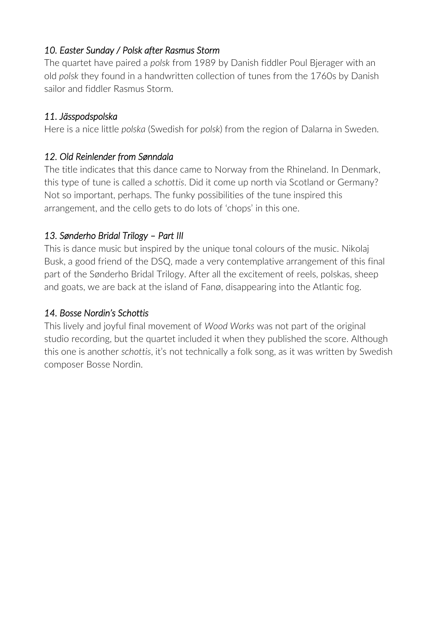#### *10. Easter Sunday / Polsk after Rasmus Storm*

The quartet have paired a *polsk* from 1989 by Danish fiddler Poul Bjerager with an old *polsk* they found in a handwritten collection of tunes from the 1760s by Danish sailor and fiddler Rasmus Storm.

#### *11. Jässpodspolska*

Here is a nice little *polska* (Swedish for *polsk*) from the region of Dalarna in Sweden.

#### *12. Old Reinlender from Sønndala*

The title indicates that this dance came to Norway from the Rhineland. In Denmark, this type of tune is called a *schottis*. Did it come up north via Scotland or Germany? Not so important, perhaps. The funky possibilities of the tune inspired this arrangement, and the cello gets to do lots of 'chops' in this one.

#### *13. Sønderho Bridal Trilogy – Part III*

This is dance music but inspired by the unique tonal colours of the music. Nikolaj Busk, a good friend of the DSQ, made a very contemplative arrangement of this final part of the Sønderho Bridal Trilogy. After all the excitement of reels, polskas, sheep and goats, we are back at the island of Fanø, disappearing into the Atlantic fog.

#### *14. Bosse Nordin's Schottis*

This lively and joyful final movement of *Wood Works* was not part of the original studio recording, but the quartet included it when they published the score. Although this one is another *schottis*, it's not technically a folk song, as it was written by Swedish composer Bosse Nordin.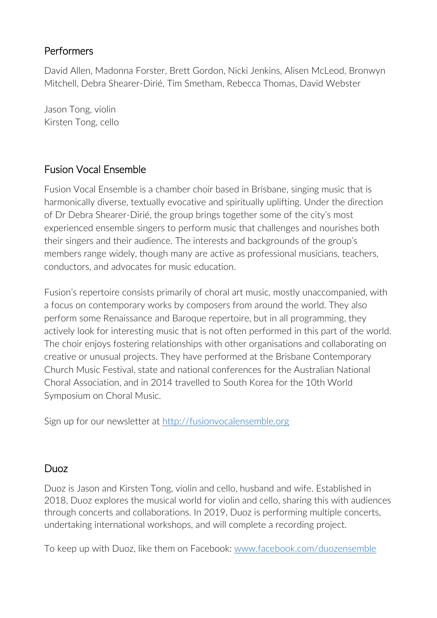# **Performers**

David Allen, Madonna Forster, Brett Gordon, Nicki Jenkins, Alisen McLeod, Bronwyn Mitchell, Debra Shearer-Dirié, Tim Smetham, Rebecca Thomas, David Webster

Jason Tong, violin Kirsten Tong, cello

# Fusion Vocal Ensemble

Fusion Vocal Ensemble is a chamber choir based in Brisbane, singing music that is harmonically diverse, textually evocative and spiritually uplifting. Under the direction of Dr Debra Shearer-Dirié, the group brings together some of the city's most experienced ensemble singers to perform music that challenges and nourishes both their singers and their audience. The interests and backgrounds of the group's members range widely, though many are active as professional musicians, teachers, conductors, and advocates for music education.

Fusion's repertoire consists primarily of choral art music, mostly unaccompanied, with a focus on contemporary works by composers from around the world. They also perform some Renaissance and Baroque repertoire, but in all programming, they actively look for interesting music that is not often performed in this part of the world. The choir enjoys fostering relationships with other organisations and collaborating on creative or unusual projects. They have performed at the Brisbane Contemporary Church Music Festival, state and national conferences for the Australian National Choral Association, and in 2014 travelled to South Korea for the 10th World Symposium on Choral Music.

Sign up for our newsletter a[t http://fusionvocalensemble.org](http://fusionvocalensemble.org/)

# Duoz

Duoz is Jason and Kirsten Tong, violin and cello, husband and wife. Established in 2018, Duoz explores the musical world for violin and cello, sharing this with audiences through concerts and collaborations. In 2019, Duoz is performing multiple concerts, undertaking international workshops, and will complete a recording project.

To keep up with Duoz, like them on Facebook[: www.facebook.com/duozensemble](http://www.facebook.com/duozensemble)